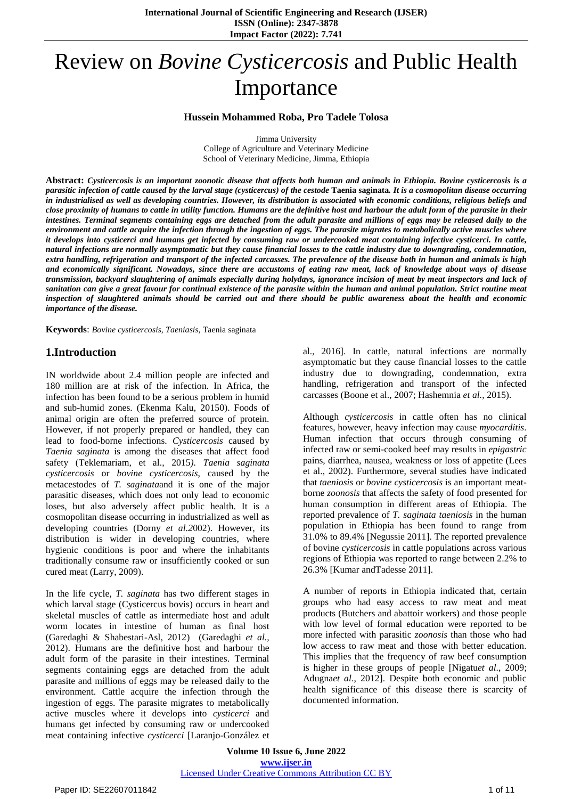# Review on *Bovine Cysticercosis* and Public Health Importance

#### **Hussein Mohammed Roba, Pro Tadele Tolosa**

Jimma University

College of Agriculture and Veterinary Medicine School of Veterinary Medicine, Jimma, Ethiopia

Abstract: Cysticercosis is an important zoonotic disease that affects both human and animals in Ethiopia. Bovine cysticercosis is a parasitic infection of cattle caused by the larval stage (cysticercus) of the cestode Taenia saginata. It is a cosmopolitan disease occurring in industrialised as well as developing countries. However, its distribution is associated with economic conditions, religious beliefs and close proximity of humans to cattle in utility function. Humans are the definitive host and harbour the adult form of the parasite in their intestines. Terminal segments containing eggs are detached from the adult parasite and millions of eggs may be released daily to the environment and cattle acquire the infection through the ingestion of eggs. The parasite migrates to metabolically active muscles where it develops into cysticerci and humans get infected by consuming raw or undercooked meat containing infective cysticerci. In cattle, natural infections are normally asymptomatic but they cause financial losses to the cattle industry due to downgrading, condemnation, extra handling, refrigeration and transport of the infected carcasses. The prevalence of the disease both in human and animals is high and economically significant. Nowadays, since there are accustoms of eating raw meat, lack of knowledge about ways of disease transmission, backyard slaughtering of animals especially during holydays, ignorance incision of meat by meat inspectors and lack of sanitation can give a great favour for continual existence of the parasite within the human and animal population. Strict routine meat inspection of slaughtered animals should be carried out and there should be public awareness about the health and economic *importance of the disease.*

**Keywords**: *Bovine cysticercosis, Taeniasis,* Taenia saginata

# **1.Introduction**

IN worldwide about 2.4 million people are infected and 180 million are at risk of the infection. In Africa, the infection has been found to be a serious problem in humid and sub-humid zones. (Ekenma Kalu, 20150). Foods of animal origin are often the preferred source of protein. However, if not properly prepared or handled, they can lead to food-borne infections. *Cysticercosis* caused by *Taenia saginata* is among the diseases that affect food safety (Teklemariam, et al., 2015*). Taenia saginata cysticercosis* or *bovine cysticercosis*, caused by the metacestodes of *T. saginata*and it is one of the major parasitic diseases, which does not only lead to economic loses, but also adversely affect public health. It is a cosmopolitan disease occurring in industrialized as well as developing countries (Dorny *et al.2*002). However, its distribution is wider in developing countries, where hygienic conditions is poor and where the inhabitants traditionally consume raw or insufficiently cooked or sun cured meat (Larry, 2009).

In the life cycle, *T. saginata* has two different stages in which larval stage (Cysticercus bovis) occurs in heart and skeletal muscles of cattle as intermediate host and adult worm locates in intestine of human as final host (Garedaghi & Shabestari-Asl, 2012) (Garedaghi *et al.,*  2012). Humans are the definitive host and harbour the adult form of the parasite in their intestines. Terminal segments containing eggs are detached from the adult parasite and millions of eggs may be released daily to the environment. Cattle acquire the infection through the ingestion of eggs. The parasite migrates to metabolically active muscles where it develops into *cysticerci* and humans get infected by consuming raw or undercooked meat containing infective *cysticerci* [Laranjo-González et al., 2016]. In cattle, natural infections are normally asymptomatic but they cause financial losses to the cattle industry due to downgrading, condemnation, extra handling, refrigeration and transport of the infected carcasses (Boone et al., 2007; Hashemnia *et al.,* 2015).

Although *cysticercosis* in cattle often has no clinical features, however, heavy infection may cause *myocarditis*. Human infection that occurs through consuming of infected raw or semi-cooked beef may results in *epigastric* pains, diarrhea, nausea, weakness or loss of appetite (Lees et al., 2002). Furthermore, several studies have indicated that *taeniosis* or *bovine cysticercosis* is an important meatborne *zoonosis* that affects the safety of food presented for human consumption in different areas of Ethiopia. The reported prevalence of *T. saginata taeniosis* in the human population in Ethiopia has been found to range from 31.0% to 89.4% [Negussie 2011]. The reported prevalence of bovine *cysticercosis* in cattle populations across various regions of Ethiopia was reported to range between 2.2% to 26.3% [Kumar andTadesse 2011].

A number of reports in Ethiopia indicated that, certain groups who had easy access to raw meat and meat products (Butchers and abattoir workers) and those people with low level of formal education were reported to be more infected with parasitic *zoonosis* than those who had low access to raw meat and those with better education. This implies that the frequency of raw beef consumption is higher in these groups of people [Nigatu*et al*., 2009; Adugna*et al*., 2012]. Despite both economic and public health significance of this disease there is scarcity of documented information.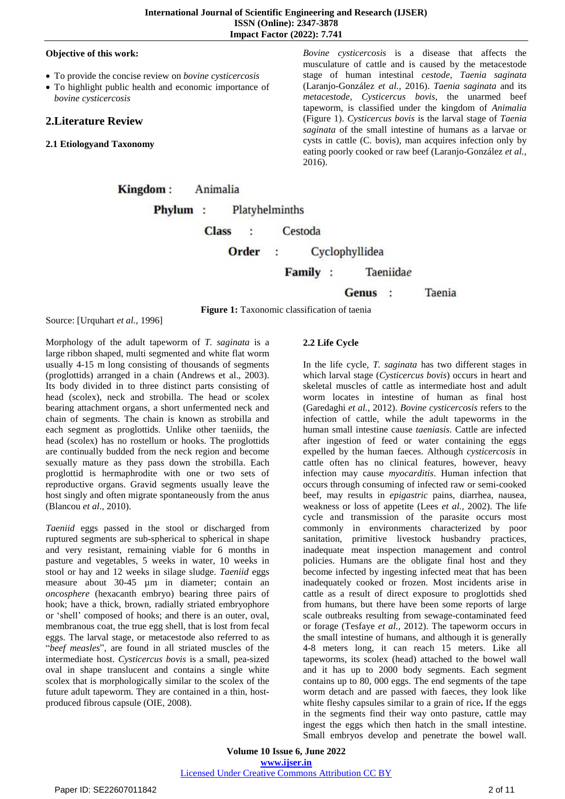#### **Objective of this work:**

- To provide the concise review on *bovine cysticercosis*
- To highlight public health and economic importance of *bovine cysticercosis*

# **2.Literature Review**

**2.1 Etiologyand Taxonomy**

*Bovine cysticercosis* is a disease that affects the musculature of cattle and is caused by the metacestode stage of human intestinal *cestode, Taenia saginata* (Laranjo-González *et al.,* 2016). *Taenia saginata* and its *metacestode, Cysticercus bovis*, the unarmed beef tapeworm, is classified under the kingdom of *Animalia* (Figure 1). *Cysticercus bovis* is the larval stage of *Taenia saginata* of the small intestine of humans as a larvae or cysts in cattle (C. bovis), man acquires infection only by eating poorly cooked or raw beef (Laranjo-González *et al.,*  2016).

Kingdom: Animalia Phylum: Platyhelminths

> **Class**  $\ddot{\phantom{0}}$ Cestoda

> > Order Cyclophyllidea  $\ddot{\phantom{a}}$

> > > Family : Taeniidae

**Taenia** Genus :

**Figure 1:** Taxonomic classification of taenia

Source: [Urquhart *et al.,* 1996]

Morphology of the adult tapeworm of *T. saginata* is a large ribbon shaped, multi segmented and white flat worm usually 4-15 m long consisting of thousands of segments (proglottids) arranged in a chain (Andrews et al., 2003). Its body divided in to three distinct parts consisting of head (scolex), neck and strobilla. The head or scolex bearing attachment organs, a short unfermented neck and chain of segments. The chain is known as strobilla and each segment as proglottids. Unlike other taeniids, the head (scolex) has no rostellum or hooks. The proglottids are continually budded from the neck region and become sexually mature as they pass down the strobilla. Each proglottid is hermaphrodite with one or two sets of reproductive organs. Gravid segments usually leave the host singly and often migrate spontaneously from the anus (Blancou *et al*., 2010).

*Taeniid* eggs passed in the stool or discharged from ruptured segments are sub-spherical to spherical in shape and very resistant, remaining viable for 6 months in pasture and vegetables, 5 weeks in water, 10 weeks in stool or hay and 12 weeks in silage sludge. *Taeniid* eggs measure about 30-45 µm in diameter; contain an *oncosphere* (hexacanth embryo) bearing three pairs of hook; have a thick, brown, radially striated embryophore or "shell" composed of hooks; and there is an outer, oval, membranous coat, the true egg shell, that is lost from fecal eggs. The larval stage, or metacestode also referred to as "*beef measles*", are found in all striated muscles of the intermediate host. *Cysticercus bovis* is a small, pea-sized oval in shape translucent and contains a single white scolex that is morphologically similar to the scolex of the future adult tapeworm. They are contained in a thin, hostproduced fibrous capsule (OIE, 2008).

# **2.2 Life Cycle**

In the life cycle*, T. saginata* has two different stages in which larval stage (*Cysticercus bovis*) occurs in heart and skeletal muscles of cattle as intermediate host and adult worm locates in intestine of human as final host (Garedaghi *et al.,* 2012). *Bovine cysticercosis* refers to the infection of cattle, while the adult tapeworms in the human small intestine cause *taeniasis*. Cattle are infected after ingestion of feed or water containing the eggs expelled by the human faeces. Although *cysticercosis* in cattle often has no clinical features, however, heavy infection may cause *myocarditis*. Human infection that occurs through consuming of infected raw or semi-cooked beef, may results in *epigastric* pains, diarrhea, nausea, weakness or loss of appetite (Lees *et al.,* 2002). The life cycle and transmission of the parasite occurs most commonly in environments characterized by poor sanitation, primitive livestock husbandry practices, inadequate meat inspection management and control policies. Humans are the obligate final host and they become infected by ingesting infected meat that has been inadequately cooked or frozen. Most incidents arise in cattle as a result of direct exposure to proglottids shed from humans, but there have been some reports of large scale outbreaks resulting from sewage-contaminated feed or forage (Tesfaye *et al.,* 2012). The tapeworm occurs in the small intestine of humans, and although it is generally 4-8 meters long, it can reach 15 meters. Like all tapeworms, its scolex (head) attached to the bowel wall and it has up to 2000 body segments. Each segment contains up to 80, 000 eggs. The end segments of the tape worm detach and are passed with faeces, they look like white fleshy capsules similar to a grain of rice**.** If the eggs in the segments find their way onto pasture, cattle may ingest the eggs which then hatch in the small intestine. Small embryos develop and penetrate the bowel wall.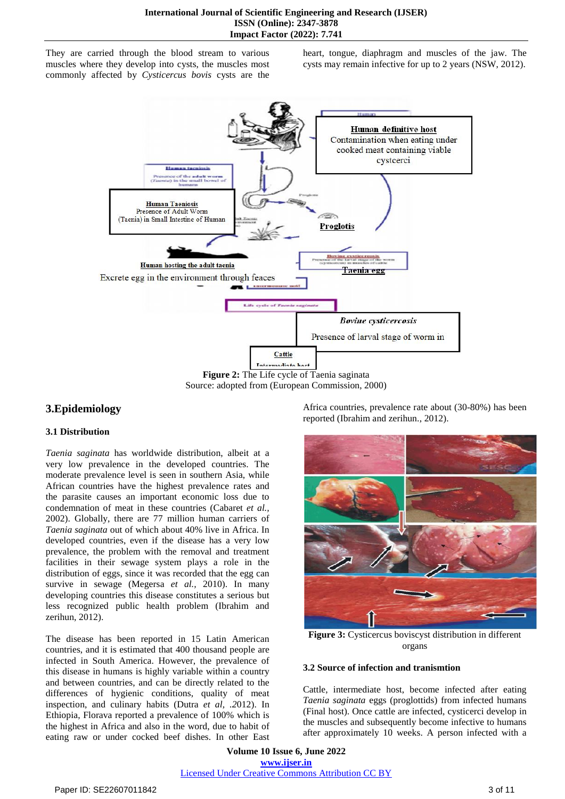They are carried through the blood stream to various muscles where they develop into cysts, the muscles most commonly affected by *Cysticercus bovis* cysts are the heart, tongue, diaphragm and muscles of the jaw. The cysts may remain infective for up to 2 years (NSW, 2012).



Source: adopted from (European Commission, 2000)

# **3.Epidemiology**

#### **3.1 Distribution**

*Taenia saginata* has worldwide distribution, albeit at a very low prevalence in the developed countries. The moderate prevalence level is seen in southern Asia, while African countries have the highest prevalence rates and the parasite causes an important economic loss due to condemnation of meat in these countries (Cabaret *et al.,*  2002). Globally, there are 77 million human carriers of *Taenia saginata* out of which about 40% live in Africa. In developed countries, even if the disease has a very low prevalence, the problem with the removal and treatment facilities in their sewage system plays a role in the distribution of eggs, since it was recorded that the egg can survive in sewage (Megersa *et al.,* 2010). In many developing countries this disease constitutes a serious but less recognized public health problem (Ibrahim and zerihun, 2012).

The disease has been reported in 15 Latin American countries, and it is estimated that 400 thousand people are infected in South America. However, the prevalence of this disease in humans is highly variable within a country and between countries, and can be directly related to the differences of hygienic conditions, quality of meat inspection, and culinary habits (Dutra *et al, .2*012). In Ethiopia, Florava reported a prevalence of 100% which is the highest in Africa and also in the word, due to habit of eating raw or under cocked beef dishes. In other East

Africa countries, prevalence rate about (30-80%) has been reported (Ibrahim and zerihun., 2012).



**Figure 3:** Cysticercus boviscyst distribution in different organs

#### **3.2 Source of infection and tranismtion**

Cattle, intermediate host, become infected after eating *Taenia saginata* eggs (proglottids) from infected humans (Final host). Once cattle are infected, cysticerci develop in the muscles and subsequently become infective to humans after approximately 10 weeks. A person infected with a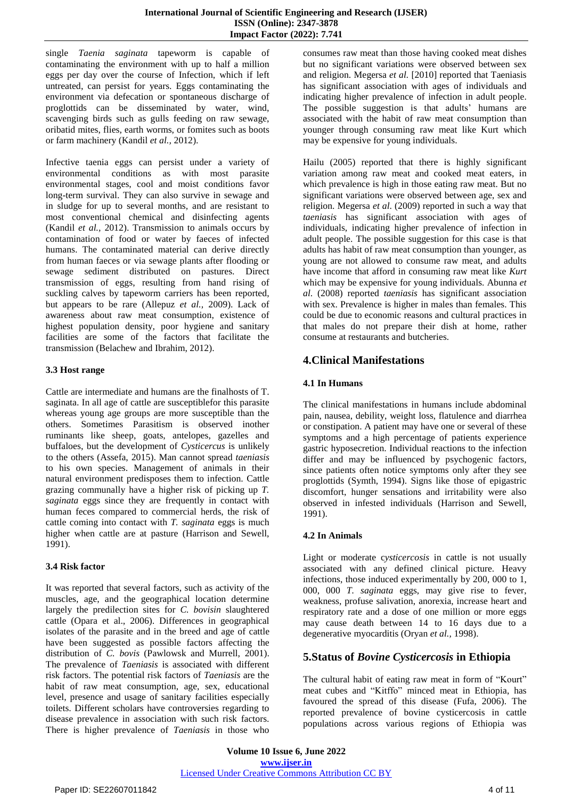single *Taenia saginata* tapeworm is capable of contaminating the environment with up to half a million eggs per day over the course of Infection, which if left untreated, can persist for years. Eggs contaminating the environment via defecation or spontaneous discharge of proglottids can be disseminated by water, wind, scavenging birds such as gulls feeding on raw sewage, oribatid mites, flies, earth worms, or fomites such as boots or farm machinery (Kandil *et al.,* 2012).

Infective taenia eggs can persist under a variety of environmental conditions as with most parasite environmental stages, cool and moist conditions favor long-term survival. They can also survive in sewage and in sludge for up to several months, and are resistant to most conventional chemical and disinfecting agents (Kandil *et al.,* 2012). Transmission to animals occurs by contamination of food or water by faeces of infected humans. The contaminated material can derive directly from human faeces or via sewage plants after flooding or sewage sediment distributed on pastures. Direct transmission of eggs, resulting from hand rising of suckling calves by tapeworm carriers has been reported, but appears to be rare (Allepuz *et al.,* 2009). Lack of awareness about raw meat consumption, existence of highest population density, poor hygiene and sanitary facilities are some of the factors that facilitate the transmission (Belachew and Ibrahim, 2012).

#### **3.3 Host range**

Cattle are intermediate and humans are the finalhosts of T. saginata. In all age of cattle are susceptiblefor this parasite whereas young age groups are more susceptible than the others. Sometimes Parasitism is observed inother ruminants like sheep, goats, antelopes, gazelles and buffaloes, but the development of *Cysticercus* is unlikely to the others (Assefa, 2015). Man cannot spread *taeniasis* to his own species. Management of animals in their natural environment predisposes them to infection. Cattle grazing communally have a higher risk of picking up *T. saginata* eggs since they are frequently in contact with human feces compared to commercial herds, the risk of cattle coming into contact with *T. saginata* eggs is much higher when cattle are at pasture (Harrison and Sewell, 1991).

#### **3.4 Risk factor**

It was reported that several factors, such as activity of the muscles, age, and the geographical location determine largely the predilection sites for *C. bovisin* slaughtered cattle (Opara et al., 2006). Differences in geographical isolates of the parasite and in the breed and age of cattle have been suggested as possible factors affecting the distribution of *C. bovis* (Pawlowsk and Murrell, 2001). The prevalence of *Taeniasis* is associated with different risk factors. The potential risk factors of *Taeniasis* are the habit of raw meat consumption, age, sex, educational level, presence and usage of sanitary facilities especially toilets. Different scholars have controversies regarding to disease prevalence in association with such risk factors. There is higher prevalence of *Taeniasis* in those who

consumes raw meat than those having cooked meat dishes but no significant variations were observed between sex and religion. Megersa *et al.* [2010] reported that Taeniasis has significant association with ages of individuals and indicating higher prevalence of infection in adult people. The possible suggestion is that adults' humans are associated with the habit of raw meat consumption than younger through consuming raw meat like Kurt which may be expensive for young individuals.

Hailu (2005) reported that there is highly significant variation among raw meat and cooked meat eaters, in which prevalence is high in those eating raw meat. But no significant variations were observed between age, sex and religion. Megersa *et al*. (2009) reported in such a way that *taeniasis* has significant association with ages of individuals, indicating higher prevalence of infection in adult people. The possible suggestion for this case is that adults has habit of raw meat consumption than younger, as young are not allowed to consume raw meat, and adults have income that afford in consuming raw meat like *Kurt* which may be expensive for young individuals. Abunna *et al*. (2008) reported *taeniasis* has significant association with sex. Prevalence is higher in males than females. This could be due to economic reasons and cultural practices in that males do not prepare their dish at home, rather consume at restaurants and butcheries.

# **4.Clinical Manifestations**

#### **4.1 In Humans**

The clinical manifestations in humans include abdominal pain, nausea, debility, weight loss, flatulence and diarrhea or constipation. A patient may have one or several of these symptoms and a high percentage of patients experience gastric hyposecretion. Individual reactions to the infection differ and may be influenced by psychogenic factors, since patients often notice symptoms only after they see proglottids (Symth, 1994). Signs like those of epigastric discomfort, hunger sensations and irritability were also observed in infested individuals (Harrison and Sewell, 1991).

#### **4.2 In Animals**

Light or moderate c*ysticercosis* in cattle is not usually associated with any defined clinical picture. Heavy infections, those induced experimentally by 200, 000 to 1, 000, 000 *T. saginata* eggs, may give rise to fever, weakness, profuse salivation, anorexia, increase heart and respiratory rate and a dose of one million or more eggs may cause death between 14 to 16 days due to a degenerative myocarditis (Oryan *et al.,* 1998).

# **5.Status of** *Bovine Cysticercosis* **in Ethiopia**

The cultural habit of eating raw meat in form of "Kourt" meat cubes and "Kitffo" minced meat in Ethiopia, has favoured the spread of this disease (Fufa, 2006). The reported prevalence of bovine cysticercosis in cattle populations across various regions of Ethiopia was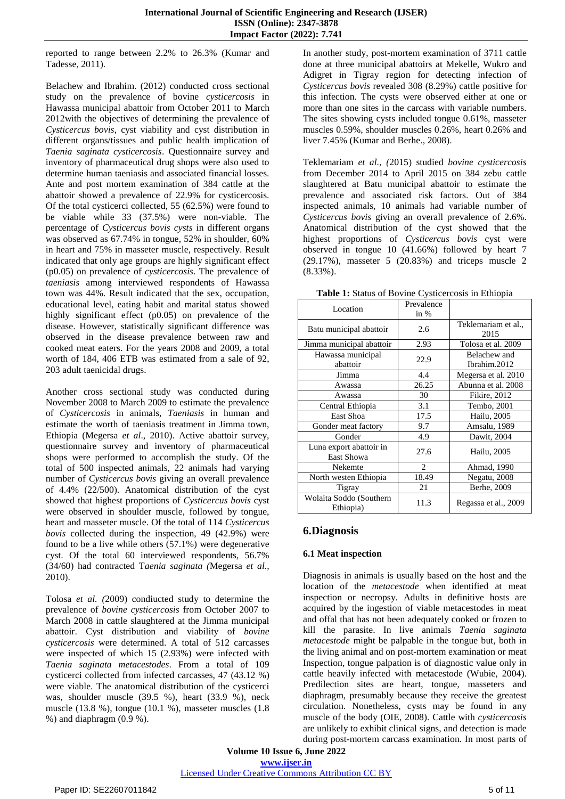reported to range between 2.2% to 26.3% (Kumar and Tadesse, 2011).

Belachew and Ibrahim. (2012) conducted cross sectional study on the prevalence of bovine *cysticercosis* in Hawassa municipal abattoir from October 2011 to March 2012with the objectives of determining the prevalence of *Cysticercus bovis,* cyst viability and cyst distribution in different organs/tissues and public health implication of *Taenia saginata cysticercosis*. Questionnaire survey and inventory of pharmaceutical drug shops were also used to determine human taeniasis and associated financial losses. Ante and post mortem examination of 384 cattle at the abattoir showed a prevalence of 22.9% for cysticercosis. Of the total cysticerci collected, 55 (62.5%) were found to be viable while 33 (37.5%) were non-viable. The percentage of *Cysticercus bovis cysts* in different organs was observed as 67.74% in tongue, 52% in shoulder, 60% in heart and 75% in masseter muscle, respectively. Result indicated that only age groups are highly significant effect (p0.05) on prevalence of *cysticercosis*. The prevalence of *taeniasis* among interviewed respondents of Hawassa town was 44%. Result indicated that the sex, occupation, educational level, eating habit and marital status showed highly significant effect (p0.05) on prevalence of the disease. However, statistically significant difference was observed in the disease prevalence between raw and cooked meat eaters. For the years 2008 and 2009, a total worth of 184, 406 ETB was estimated from a sale of 92, 203 adult taenicidal drugs.

Another cross sectional study was conducted during November 2008 to March 2009 to estimate the prevalence of *Cysticercosis* in animals, *Taeniasis* in human and estimate the worth of taeniasis treatment in Jimma town, Ethiopia (Megersa *et al*., 2010). Active abattoir survey, questionnaire survey and inventory of pharmaceutical shops were performed to accomplish the study. Of the total of 500 inspected animals, 22 animals had varying number of *Cysticercus bovis* giving an overall prevalence of 4.4% (22/500). Anatomical distribution of the cyst showed that highest proportions of *Cysticercus bovis* cyst were observed in shoulder muscle, followed by tongue, heart and masseter muscle. Of the total of 114 *Cysticercus bovis* collected during the inspection, 49 (42.9%) were found to be a live while others (57.1%) were degenerative cyst. Of the total 60 interviewed respondents, 56.7% (34/60) had contracted T*aenia saginata (*Megersa *et al.,*  2010).

Tolosa *et al. (*2009) condiucted study to determine the prevalence of *bovine cysticercosis* from October 2007 to March 2008 in cattle slaughtered at the Jimma municipal abattoir. Cyst distribution and viability of *bovine cysticercosis* were determined. A total of 512 carcasses were inspected of which 15 (2.93%) were infected with *Taenia saginata metacestodes*. From a total of 109 cysticerci collected from infected carcasses, 47 (43.12 %) were viable. The anatomical distribution of the cysticerci was, shoulder muscle (39.5 %), heart (33.9 %), neck muscle (13.8 %), tongue (10.1 %), masseter muscles (1.8  $%$ ) and diaphragm  $(0.9\%).$ 

In another study, post-mortem examination of 3711 cattle done at three municipal abattoirs at Mekelle, Wukro and Adigret in Tigray region for detecting infection of *Cysticercus bovis* revealed 308 (8.29%) cattle positive for this infection. The cysts were observed either at one or more than one sites in the carcass with variable numbers. The sites showing cysts included tongue 0.61%, masseter muscles 0.59%, shoulder muscles 0.26%, heart 0.26% and liver 7.45% (Kumar and Berhe., 2008).

Teklemariam *et al., (*2015) studied *bovine cysticercosis* from December 2014 to April 2015 on 384 zebu cattle slaughtered at Batu municipal abattoir to estimate the prevalence and associated risk factors. Out of 384 inspected animals, 10 animals had variable number of *Cysticercus bovis* giving an overall prevalence of 2.6%. Anatomical distribution of the cyst showed that the highest proportions of *Cysticercus bovis* cyst were observed in tongue 10 (41.66%) followed by heart 7 (29.17%), masseter 5 (20.83%) and triceps muscle 2 (8.33%).

**Table 1:** Status of Bovine Cysticercosis in Ethiopia

| Location                             | Prevalence |                             |
|--------------------------------------|------------|-----------------------------|
|                                      | in $%$     |                             |
| Batu municipal abattoir              | 2.6        | Teklemariam et al.,<br>2015 |
| Jimma municipal abattoir             | 2.93       | Tolosa et al. 2009          |
| Hawassa municipal                    | 22.9       | Belachew and                |
| abattoir                             |            | Ibrahim.2012                |
| Jimma                                | 4.4        | Megersa et al. 2010         |
| Awassa                               | 26.25      | Abunna et al. 2008          |
| Awassa                               | 30         | <b>Fikire</b> , 2012        |
| Central Ethiopia                     | 3.1        | Tembo, 2001                 |
| East Shoa                            | 17.5       | Hailu, 2005                 |
| Gonder meat factory                  | 9.7        | Amsalu, 1989                |
| Gonder                               | 4.9        | Dawit, 2004                 |
| Luna export abattoir in              | 27.6       | Hailu, 2005                 |
| East Showa                           |            |                             |
| Nekemte                              | 2          | Ahmad, 1990                 |
| North westen Ethiopia                | 18.49      | Negatu, 2008                |
| Tigray                               | 21         | Berhe, 2009                 |
| Wolaita Soddo (Southern<br>Ethiopia) | 11.3       | Regassa et al., 2009        |

# **6.Diagnosis**

#### **6.1 Meat inspection**

Diagnosis in animals is usually based on the host and the location of the *metacestode* when identified at meat inspection or necropsy. Adults in definitive hosts are acquired by the ingestion of viable metacestodes in meat and offal that has not been adequately cooked or frozen to kill the parasite. In live animals *Taenia saginata metacestode* might be palpable in the tongue but, both in the living animal and on post-mortem examination or meat Inspection, tongue palpation is of diagnostic value only in cattle heavily infected with metacestode (Wubie, 2004). Predilection sites are heart, tongue, masseters and diaphragm, presumably because they receive the greatest circulation. Nonetheless, cysts may be found in any muscle of the body (OIE, 2008). Cattle with *cysticercosis* are unlikely to exhibit clinical signs, and detection is made during post-mortem carcass examination. In most parts of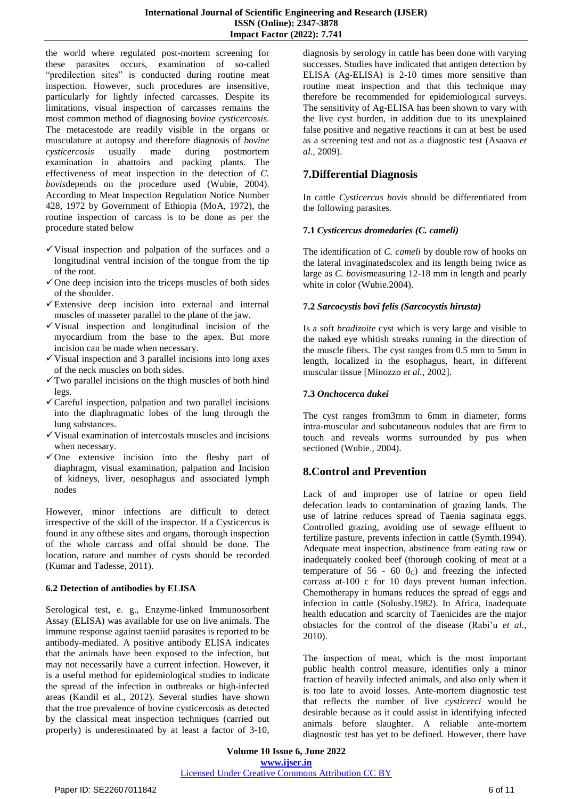the world where regulated post-mortem screening for these parasites occurs, examination of so-called "predilection sites" is conducted during routine meat inspection. However, such procedures are insensitive, particularly for lightly infected carcasses. Despite its limitations, visual inspection of carcasses remains the most common method of diagnosing *bovine cysticercosis*. The metacestode are readily visible in the organs or musculature at autopsy and therefore diagnosis of *bovine cysticercosis* usually made during postmortem examination in abattoirs and packing plants. The effectiveness of meat inspection in the detection of *C. bovis*depends on the procedure used (Wubie, 2004). According to Meat Inspection Regulation Notice Number 428, 1972 by Government of Ethiopia (MoA, 1972), the routine inspection of carcass is to be done as per the procedure stated below

- $\checkmark$  Visual inspection and palpation of the surfaces and a longitudinal ventral incision of the tongue from the tip of the root.
- $\checkmark$  One deep incision into the triceps muscles of both sides of the shoulder.
- $\checkmark$  Extensive deep incision into external and internal muscles of masseter parallel to the plane of the jaw.
- $\checkmark$  Visual inspection and longitudinal incision of the myocardium from the base to the apex. But more incision can be made when necessary.
- $\checkmark$  Visual inspection and 3 parallel incisions into long axes of the neck muscles on both sides.
- $\checkmark$  Two parallel incisions on the thigh muscles of both hind legs.
- Careful inspection, palpation and two parallel incisions into the diaphragmatic lobes of the lung through the lung substances.
- $\checkmark$  Visual examination of intercostals muscles and incisions when necessary.
- $\checkmark$  One extensive incision into the fleshy part of diaphragm, visual examination, palpation and Incision of kidneys, liver, oesophagus and associated lymph nodes

However, minor infections are difficult to detect irrespective of the skill of the inspector. If a Cysticercus is found in any ofthese sites and organs, thorough inspection of the whole carcass and offal should be done. The location, nature and number of cysts should be recorded (Kumar and Tadesse, 2011).

#### **6.2 Detection of antibodies by ELISA**

Serological test, e. g., Enzyme-linked Immunosorbent Assay (ELISA) was available for use on live animals. The immune response against taeniid parasites is reported to be antibody-mediated. A positive antibody ELISA indicates that the animals have been exposed to the infection, but may not necessarily have a current infection. However, it is a useful method for epidemiological studies to indicate the spread of the infection in outbreaks or high-infected areas (Kandil et al., 2012). Several studies have shown that the true prevalence of bovine cysticercosis as detected by the classical meat inspection techniques (carried out properly) is underestimated by at least a factor of 3-10,

diagnosis by serology in cattle has been done with varying successes. Studies have indicated that antigen detection by ELISA (Ag-ELISA) is 2-10 times more sensitive than routine meat inspection and that this technique may therefore be recommended for epidemiological surveys. The sensitivity of Ag-ELISA has been shown to vary with the live cyst burden, in addition due to its unexplained false positive and negative reactions it can at best be used as a screening test and not as a diagnostic test (Asaava *et al.,* 2009).

# **7.Differential Diagnosis**

In cattle *Cysticercus bovis* should be differentiated from the following parasites.

#### **7.1** *Cysticercus dromedaries (C. cameli)*

The identification of *C. cameli* by double row of hooks on the lateral invaginatedscolex and its length being twice as large as *C. bovis*measuring 12-18 mm in length and pearly white in color (Wubie.2004).

#### **7.2** *Sarcocystis bovi felis (Sarcocystis hirusta)*

Is a soft *bradizoite* cyst which is very large and visible to the naked eye whitish streaks running in the direction of the muscle fibers. The cyst ranges from 0.5 mm to 5mm in length, localized in the esophagus, heart, in different muscular tissue [Minozzo *et al.,* 2002].

#### **7.3** *Onchocerca dukei*

The cyst ranges from3mm to 6mm in diameter, forms intra-muscular and subcutaneous nodules that are firm to touch and reveals worms surrounded by pus when sectioned (Wubie., 2004).

# **8.Control and Prevention**

Lack of and improper use of latrine or open field defecation leads to contamination of grazing lands. The use of latrine reduces spread of Taenia saginata eggs. Controlled grazing, avoiding use of sewage effluent to fertilize pasture, prevents infection in cattle (Symth.1994). Adequate meat inspection, abstinence from eating raw or inadequately cooked beef (thorough cooking of meat at a temperature of  $56 - 60$   $0<sub>C</sub>$ ) and freezing the infected carcass at-100 c for 10 days prevent human infection. Chemotherapy in humans reduces the spread of eggs and infection in cattle (Solusby.1982). In Africa, inadequate health education and scarcity of Taenicides are the major obstacles for the control of the disease (Rabi"u *et al.,*  2010).

The inspection of meat, which is the most important public health control measure, identifies only a minor fraction of heavily infected animals, and also only when it is too late to avoid losses. Ante-mortem diagnostic test that reflects the number of live *cysticerci* would be desirable because as it could assist in identifying infected animals before slaughter. A reliable ante-mortem diagnostic test has yet to be defined. However, there have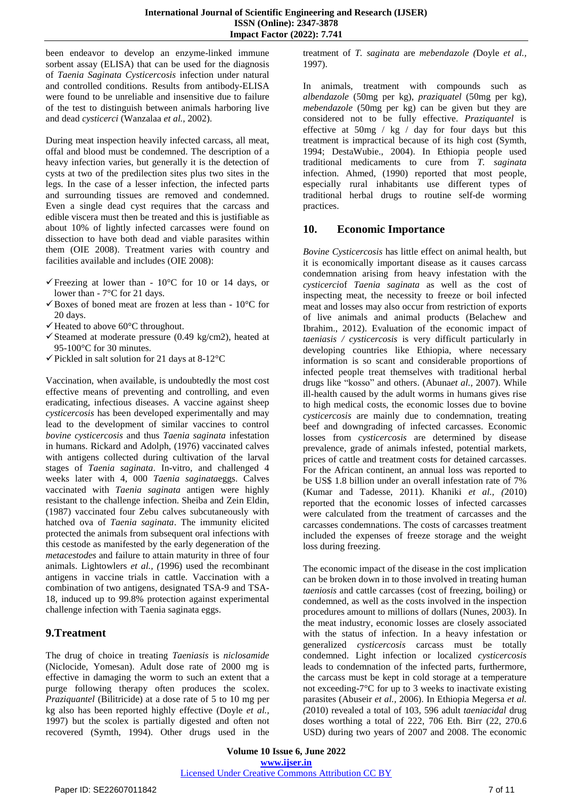been endeavor to develop an enzyme-linked immune sorbent assay (ELISA) that can be used for the diagnosis of *Taenia Saginata Cysticercosis* infection under natural and controlled conditions. Results from antibody-ELISA were found to be unreliable and insensitive due to failure of the test to distinguish between animals harboring live and dead *cysticerci* (Wanzalaa *et al.,* 2002).

During meat inspection heavily infected carcass, all meat, offal and blood must be condemned. The description of a heavy infection varies, but generally it is the detection of cysts at two of the predilection sites plus two sites in the legs. In the case of a lesser infection, the infected parts and surrounding tissues are removed and condemned. Even a single dead cyst requires that the carcass and edible viscera must then be treated and this is justifiable as about 10% of lightly infected carcasses were found on dissection to have both dead and viable parasites within them (OIE 2008). Treatment varies with country and facilities available and includes (OIE 2008):

- $\checkmark$  Freezing at lower than 10<sup>o</sup>C for 10 or 14 days, or lower than - 7°C for 21 days.
- $\checkmark$  Boxes of boned meat are frozen at less than 10 $^{\circ}$ C for 20 days.
- $\checkmark$  Heated to above 60 $\degree$ C throughout.
- $\checkmark$  Steamed at moderate pressure (0.49 kg/cm2), heated at 95-100°C for 30 minutes.
- $\checkmark$  Pickled in salt solution for 21 days at 8-12 $\mathrm{°C}$

Vaccination, when available, is undoubtedly the most cost effective means of preventing and controlling, and even eradicating, infectious diseases. A vaccine against sheep *cysticercosis* has been developed experimentally and may lead to the development of similar vaccines to control *bovine cysticercosis* and thus *Taenia saginata* infestation in humans. Rickard and Adolph, (1976) vaccinated calves with antigens collected during cultivation of the larval stages of *Taenia saginata*. In-vitro, and challenged 4 weeks later with 4, 000 *Taenia saginata*eggs. Calves vaccinated with *Taenia saginata* antigen were highly resistant to the challenge infection. Sheiba and Zein Eldin, (1987) vaccinated four Zebu calves subcutaneously with hatched ova of *Taenia saginata*. The immunity elicited protected the animals from subsequent oral infections with this cestode as manifested by the early degeneration of the *metacestodes* and failure to attain maturity in three of four animals. Lightowlers *et al., (*1996) used the recombinant antigens in vaccine trials in cattle. Vaccination with a combination of two antigens, designated TSA-9 and TSA-18, induced up to 99.8% protection against experimental challenge infection with Taenia saginata eggs.

# **9.Treatment**

The drug of choice in treating *Taeniasis* is *niclosamide* (Niclocide, Yomesan). Adult dose rate of 2000 mg is effective in damaging the worm to such an extent that a purge following therapy often produces the scolex. *Praziquantel* (Bilitricide) at a dose rate of 5 to 10 mg per kg also has been reported highly effective (Doyle *et al.,*  1997) but the scolex is partially digested and often not recovered (Symth, 1994). Other drugs used in the treatment of *T. saginata* are *mebendazole (*Doyle *et al.,*  1997).

In animals, treatment with compounds such as *albendazole* (50mg per kg), *praziquatel* (50mg per kg), *mebendazole* (50mg per kg) can be given but they are considered not to be fully effective. *Praziquantel* is effective at 50mg / kg / day for four days but this treatment is impractical because of its high cost (Symth, 1994; DestaWubie., 2004). In Ethiopia people used traditional medicaments to cure from *T. saginata* infection. Ahmed, (1990) reported that most people, especially rural inhabitants use different types of traditional herbal drugs to routine self-de worming practices.

# **10. Economic Importance**

*Bovine Cysticercosis* has little effect on animal health, but it is economically important disease as it causes carcass condemnation arising from heavy infestation with the *cysticerci*of *Taenia saginata* as well as the cost of inspecting meat, the necessity to freeze or boil infected meat and losses may also occur from restriction of exports of live animals and animal products (Belachew and Ibrahim., 2012). Evaluation of the economic impact of *taeniasis / cysticercosis* is very difficult particularly in developing countries like Ethiopia, where necessary information is so scant and considerable proportions of infected people treat themselves with traditional herbal drugs like "kosso" and others. (Abuna*et al.,* 2007). While ill-health caused by the adult worms in humans gives rise to high medical costs, the economic losses due to bovine *cysticercosis* are mainly due to condemnation, treating beef and downgrading of infected carcasses. Economic losses from *cysticercosis* are determined by disease prevalence, grade of animals infested, potential markets, prices of cattle and treatment costs for detained carcasses. For the African continent, an annual loss was reported to be US\$ 1.8 billion under an overall infestation rate of 7% (Kumar and Tadesse, 2011). Khaniki *et al., (*2010) reported that the economic losses of infected carcasses were calculated from the treatment of carcasses and the carcasses condemnations. The costs of carcasses treatment included the expenses of freeze storage and the weight loss during freezing.

The economic impact of the disease in the cost implication can be broken down in to those involved in treating human *taeniosis* and cattle carcasses (cost of freezing, boiling) or condemned, as well as the costs involved in the inspection procedures amount to millions of dollars (Nunes, 2003). In the meat industry, economic losses are closely associated with the status of infection. In a heavy infestation or generalized *cysticercosis* carcass must be totally condemned. Light infection or localized *cysticercosis* leads to condemnation of the infected parts, furthermore, the carcass must be kept in cold storage at a temperature not exceeding-7°C for up to 3 weeks to inactivate existing parasites (Abuseir *et al.,* 2006). In Ethiopia Megersa *et al. (*2010) revealed a total of 103, 596 adult *taeniacidal* drug doses worthing a total of 222, 706 Eth. Birr (22, 270.6 USD) during two years of 2007 and 2008. The economic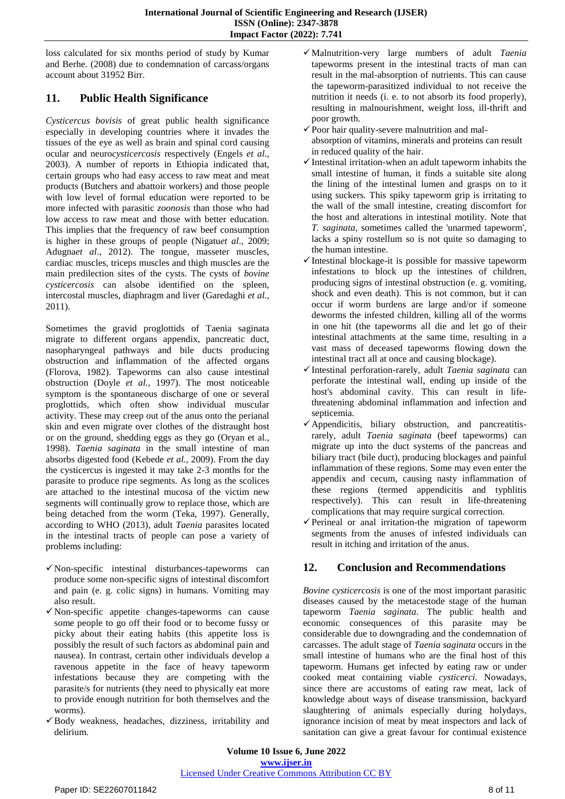loss calculated for six months period of study by Kumar and Berhe. (2008) due to condemnation of carcass/organs account about 31952 Birr.

# **11. Public Health Significance**

*Cysticercus bovisis* of great public health significance especially in developing countries where it invades the tissues of the eye as well as brain and spinal cord causing ocular and neuro*cysticercosis* respectively (Engels *et al*., 2003). A number of reports in Ethiopia indicated that, certain groups who had easy access to raw meat and meat products (Butchers and abattoir workers) and those people with low level of formal education were reported to be more infected with parasitic *zoonosis* than those who had low access to raw meat and those with better education. This implies that the frequency of raw beef consumption is higher in these groups of people (Nigatu*et al*., 2009; Adugna*et al*., 2012). The tongue, masseter muscles, cardiac muscles, triceps muscles and thigh muscles are the main predilection sites of the cysts. The cysts of *bovine cysticercosis* can alsobe identified on the spleen, intercostal muscles, diaphragm and liver (Garedaghi *et al.,*  2011).

Sometimes the gravid proglottids of Taenia saginata migrate to different organs appendix, pancreatic duct, nasopharyngeal pathways and bile ducts producing obstruction and inflammation of the affected organs (Florova, 1982). Tapeworms can also cause intestinal obstruction (Doyle *et al.,* 1997). The most noticeable symptom is the spontaneous discharge of one or several proglottids, which often show individual muscular activity. These may creep out of the anus onto the perianal skin and even migrate over clothes of the distraught host or on the ground, shedding eggs as they go (Oryan et al., 1998). *Taenia saginata* in the small intestine of man absorbs digested food (Kebede *et al.,* 2009). From the day the cysticercus is ingested it may take 2-3 months for the parasite to produce ripe segments. As long as the scolices are attached to the intestinal mucosa of the victim new segments will continually grow to replace those, which are being detached from the worm (Teka, 1997). Generally, according to WHO (2013), adult *Taenia* parasites located in the intestinal tracts of people can pose a variety of problems including:

- $\checkmark$  Non-specific intestinal disturbances-tapeworms can produce some non-specific signs of intestinal discomfort and pain (e. g. colic signs) in humans. Vomiting may also result.
- $\checkmark$  Non-specific appetite changes-tapeworms can cause some people to go off their food or to become fussy or picky about their eating habits (this appetite loss is possibly the result of such factors as abdominal pain and nausea). In contrast, certain other individuals develop a ravenous appetite in the face of heavy tapeworm infestations because they are competing with the parasite/s for nutrients (they need to physically eat more to provide enough nutrition for both themselves and the worms).
- $\checkmark$  Body weakness, headaches, dizziness, irritability and delirium.
- Malnutrition-very large numbers of adult *Taenia* tapeworms present in the intestinal tracts of man can result in the mal-absorption of nutrients. This can cause the tapeworm-parasitized individual to not receive the nutrition it needs (i. e. to not absorb its food properly), resulting in malnourishment, weight loss, ill-thrift and poor growth.
- $\checkmark$  Poor hair quality-severe malnutrition and malabsorption of vitamins, minerals and proteins can result in reduced quality of the hair.
- $\checkmark$  Intestinal irritation-when an adult tapeworm inhabits the small intestine of human, it finds a suitable site along the lining of the intestinal lumen and grasps on to it using suckers. This spiky tapeworm grip is irritating to the wall of the small intestine, creating discomfort for the host and alterations in intestinal motility. Note that *T. saginata*, sometimes called the 'unarmed tapeworm', lacks a spiny rostellum so is not quite so damaging to the human intestine.
- $\checkmark$  Intestinal blockage-it is possible for massive tapeworm infestations to block up the intestines of children, producing signs of intestinal obstruction (e. g. vomiting, shock and even death). This is not common, but it can occur if worm burdens are large and/or if someone deworms the infested children, killing all of the worms in one hit (the tapeworms all die and let go of their intestinal attachments at the same time, resulting in a vast mass of deceased tapeworms flowing down the intestinal tract all at once and causing blockage).
- Intestinal perforation-rarely, adult *Taenia saginata* can perforate the intestinal wall, ending up inside of the host's abdominal cavity. This can result in lifethreatening abdominal inflammation and infection and septicemia.
- $\checkmark$  Appendicitis, biliary obstruction, and pancreatitisrarely, adult *Taenia saginata* (beef tapeworms) can migrate up into the duct systems of the pancreas and biliary tract (bile duct), producing blockages and painful inflammation of these regions. Some may even enter the appendix and cecum, causing nasty inflammation of these regions (termed appendicitis and typhlitis respectively). This can result in life-threatening complications that may require surgical correction.
- $\checkmark$  Perineal or anal irritation-the migration of tapeworm segments from the anuses of infested individuals can result in itching and irritation of the anus.

# **12. Conclusion and Recommendations**

*Bovine cysticercosis* is one of the most important parasitic diseases caused by the metacestode stage of the human tapeworm *Taenia saginata*. The public health and economic consequences of this parasite may be considerable due to downgrading and the condemnation of carcasses. The adult stage of *Taenia saginata* occurs in the small intestine of humans who are the final host of this tapeworm. Humans get infected by eating raw or under cooked meat containing viable *cysticerci*. Nowadays, since there are accustoms of eating raw meat, lack of knowledge about ways of disease transmission, backyard slaughtering of animals especially during holydays, ignorance incision of meat by meat inspectors and lack of sanitation can give a great favour for continual existence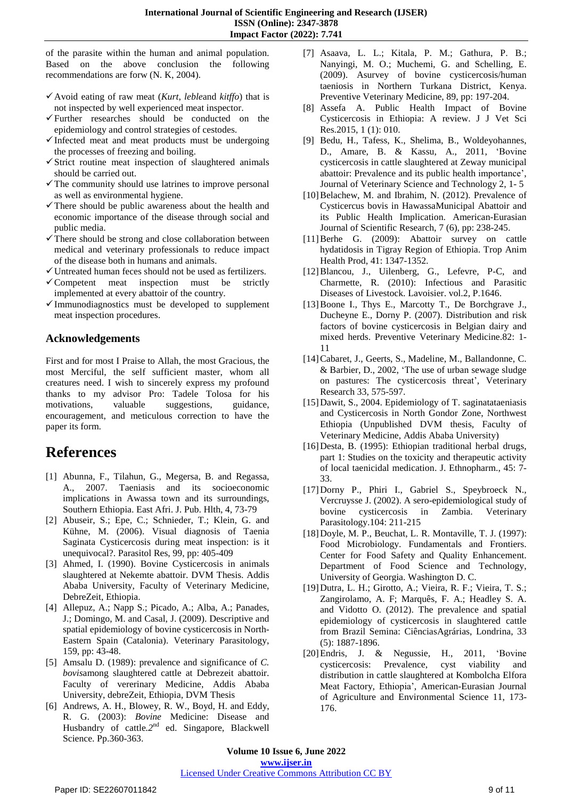of the parasite within the human and animal population. Based on the above conclusion the following recommendations are forw (N. K, 2004).

- Avoid eating of raw meat (*Kurt*, *leble*and *kitffo*) that is not inspected by well experienced meat inspector.
- Further researches should be conducted on the epidemiology and control strategies of cestodes.
- $\checkmark$  Infected meat and meat products must be undergoing the processes of freezing and boiling.
- $\checkmark$  Strict routine meat inspection of slaughtered animals should be carried out.
- $\checkmark$  The community should use latrines to improve personal as well as environmental hygiene.
- $\checkmark$  There should be public awareness about the health and economic importance of the disease through social and public media.
- $\checkmark$  There should be strong and close collaboration between medical and veterinary professionals to reduce impact of the disease both in humans and animals.
- Untreated human feces should not be used as fertilizers.
- $\checkmark$  Competent meat inspection must be strictly implemented at every abattoir of the country.
- $\checkmark$  Immunodiagnostics must be developed to supplement meat inspection procedures.

# **Acknowledgements**

First and for most I Praise to Allah, the most Gracious, the most Merciful, the self sufficient master, whom all creatures need. I wish to sincerely express my profound thanks to my advisor Pro: Tadele Tolosa for his motivations, valuable suggestions, guidance, encouragement, and meticulous correction to have the paper its form.

# **References**

- [1] Abunna, F., Tilahun, G., Megersa, B. and Regassa, A., 2007. Taeniasis and its socioeconomic implications in Awassa town and its surroundings, Southern Ethiopia. East Afri. J. Pub. Hlth, 4, 73-79
- [2] Abuseir, S.; Epe, C.; Schnieder, T.; Klein, G. and Kühne, M. (2006). Visual diagnosis of Taenia Saginata Cysticercosis during meat inspection: is it unequivocal?. Parasitol Res, 99, pp: 405-409
- [3] Ahmed, I. (1990). Bovine Cysticercosis in animals slaughtered at Nekemte abattoir. DVM Thesis. Addis Ababa University, Faculty of Veterinary Medicine, DebreZeit, Ethiopia.
- [4] Allepuz, A.; Napp S.; Picado, A.; Alba, A.; Panades, J.; Domingo, M. and Casal, J. (2009). Descriptive and spatial epidemiology of bovine cysticercosis in North-Eastern Spain (Catalonia). Veterinary Parasitology, 159, pp: 43-48.
- [5] Amsalu D. (1989): prevalence and significance of *C. bovis*among slaughtered cattle at Debrezeit abattoir. Faculty of vererinary Medicine, Addis Ababa University, debreZeit, Ethiopia, DVM Thesis
- [6] Andrews, A. H., Blowey, R. W., Boyd, H. and Eddy, R. G. (2003): *Bovine* Medicine: Disease and Husbandry of cattle*.2*nd ed. Singapore, Blackwell Science. Pp.360-363.
- [7] Asaava, L. L.; Kitala, P. M.; Gathura, P. B.; Nanyingi, M. O.; Muchemi, G. and Schelling, E. (2009). Asurvey of bovine cysticercosis/human taeniosis in Northern Turkana District, Kenya. Preventive Veterinary Medicine, 89, pp: 197-204.
- [8] Assefa A. Public Health Impact of Bovine Cysticercosis in Ethiopia: A review. J J Vet Sci Res.2015, 1 (1): 010.
- [9] Bedu, H., Tafess, K., Shelima, B., Woldeyohannes, D., Amare, B. & Kassu, A., 2011, "Bovine cysticercosis in cattle slaughtered at Zeway municipal abattoir: Prevalence and its public health importance", Journal of Veterinary Science and Technology 2, 1- 5
- [10]Belachew, M. and Ibrahim, N. (2012). Prevalence of Cysticercus bovis in HawassaMunicipal Abattoir and its Public Health Implication. American-Eurasian Journal of Scientific Research, 7 (6), pp: 238-245.
- [11]Berhe G. (2009): Abattoir survey on cattle hydatidosis in Tigray Region of Ethiopia. Trop Anim Health Prod, 41: 1347-1352.
- [12]Blancou, J., Uilenberg, G., Lefevre, P-C, and Charmette, R. (2010): Infectious and Parasitic Diseases of Livestock. Lavoisier. vol.2, P.1646.
- [13]Boone I., Thys E., Marcotty T., De Borchgrave J., Ducheyne E., Dorny P. (2007). Distribution and risk factors of bovine cysticercosis in Belgian dairy and mixed herds. Preventive Veterinary Medicine.82: 1- 11
- [14]Cabaret, J., Geerts, S., Madeline, M., Ballandonne, C. & Barbier, D., 2002, "The use of urban sewage sludge on pastures: The cysticercosis threat', Veterinary Research 33, 575-597.
- [15]Dawit, S., 2004. Epidemiology of T. saginatataeniasis and Cysticercosis in North Gondor Zone, Northwest Ethiopia (Unpublished DVM thesis, Faculty of Veterinary Medicine, Addis Ababa University)
- [16]Desta, B. (1995): Ethiopian traditional herbal drugs, part 1: Studies on the toxicity and therapeutic activity of local taenicidal medication. J. Ethnopharm., 45: 7- 33.
- [17]Dorny P., Phiri I., Gabriel S., Speybroeck N., Vercruysse J. (2002). A sero-epidemiological study of bovine cysticercosis in Zambia. Veterinary Parasitology.104: 211-215
- [18]Doyle, M. P., Beuchat, L. R. Montaville, T. J. (1997): Food Microbiology. Fundamentals and Frontiers. Center for Food Safety and Quality Enhancement. Department of Food Science and Technology, University of Georgia. Washington D. C.
- [19]Dutra, L. H.; Girotto, A.; Vieira, R. F.; Vieira, T. S.; Zangirolamo, A. F; Marquês, F. A.; Headley S. A. and Vidotto O. (2012). The prevalence and spatial epidemiology of cysticercosis in slaughtered cattle from Brazil Semina: CiênciasAgrárias, Londrina, 33 (5): 1887-1896.
- [20]Endris, J. & Negussie, H., 2011, "Bovine cysticercosis: Prevalence, cyst viability and distribution in cattle slaughtered at Kombolcha Elfora Meat Factory, Ethiopia", American-Eurasian Journal of Agriculture and Environmental Science 11, 173- 176.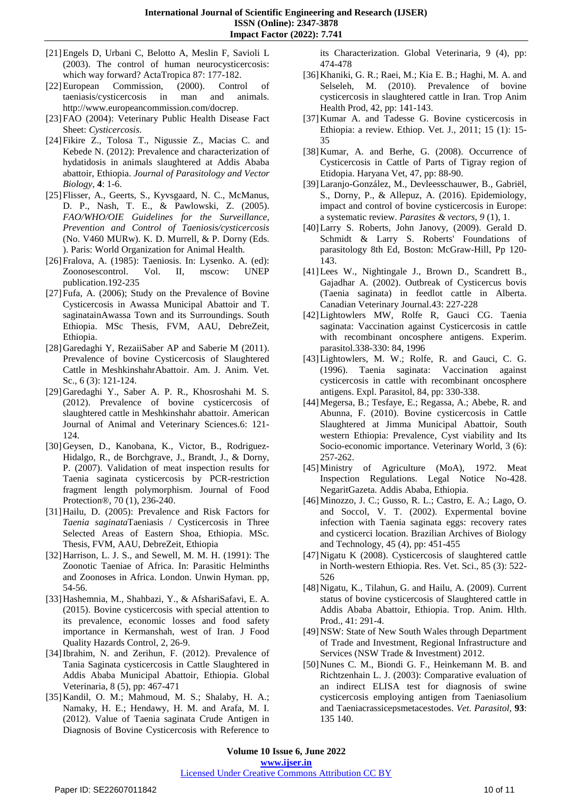- [21]Engels D, Urbani C, Belotto A, Meslin F, Savioli L (2003). The control of human neurocysticercosis: which way forward? ActaTropica 87: 177-182.
- [22]European Commission, (2000). Control of taeniasis/cysticercosis in man and animals. [http://www.europeancommission.com/docrep.](http://www.europeancommission.com/docrep)
- [23]FAO (2004): Veterinary Public Health Disease Fact Sheet: *Cysticercosis*.
- [24]Fikire Z., Tolosa T., Nigussie Z., Macias C. and Kebede N. (2012): Prevalence and characterization of hydatidosis in animals slaughtered at Addis Ababa abattoir, Ethiopia. *Journal of Parasitology and Vector Biology*, **4**: 1-6.
- [25]Flisser, A., Geerts, S., Kyvsgaard, N. C., McManus, D. P., Nash, T. E., & Pawlowski, Z. (2005). *FAO/WHO/OIE Guidelines for the Surveillance, Prevention and Control of Taeniosis/cysticercosis* (No. V460 MURw). K. D. Murrell, & P. Dorny (Eds. ). Paris: World Organization for Animal Health.
- [26]Fralova, A. (1985): Taeniosis. In: Lysenko. A. (ed): Zoonosescontrol. Vol. II, mscow: UNEP publication.192-235
- [27]Fufa, A. (2006); Study on the Prevalence of Bovine Cysticercosis in Awassa Municipal Abattoir and T. saginatainAwassa Town and its Surroundings. South Ethiopia. MSc Thesis, FVM, AAU, DebreZeit, Ethiopia.
- [28]Garedaghi Y, RezaiiSaber AP and Saberie M (2011). Prevalence of bovine Cysticercosis of Slaughtered Cattle in MeshkinshahrAbattoir. Am. J. Anim. Vet. Sc., 6 (3): 121-124.
- [29]Garedaghi Y., Saber A. P. R., Khosroshahi M. S. (2012). Prevalence of bovine cysticercosis of slaughtered cattle in Meshkinshahr abattoir. American Journal of Animal and Veterinary Sciences.6: 121- 124.
- [30]Geysen, D., Kanobana, K., Victor, B., Rodriguez-Hidalgo, R., de Borchgrave, J., Brandt, J., & Dorny, P. (2007). Validation of meat inspection results for Taenia saginata cysticercosis by PCR-restriction fragment length polymorphism. Journal of Food Protection®, 70 (1), 236-240.
- [31]Hailu, D. (2005): Prevalence and Risk Factors for *Taenia saginata*Taeniasis / Cysticercosis in Three Selected Areas of Eastern Shoa, Ethiopia. MSc. Thesis, FVM, AAU, DebreZeit, Ethiopia
- [32]Harrison, L. J. S., and Sewell, M. M. H. (1991): The Zoonotic Taeniae of Africa. In: Parasitic Helminths and Zoonoses in Africa. London. Unwin Hyman. pp, 54-56.
- [33]Hashemnia, M., Shahbazi, Y., & AfshariSafavi, E. A. (2015). Bovine cysticercosis with special attention to its prevalence, economic losses and food safety importance in Kermanshah, west of Iran. J Food Quality Hazards Control, 2, 26-9.
- [34]Ibrahim, N. and Zerihun, F. (2012). Prevalence of Tania Saginata cysticercosis in Cattle Slaughtered in Addis Ababa Municipal Abattoir, Ethiopia. Global Veterinaria, 8 (5), pp: 467-471
- [35]Kandil, O. M.; Mahmoud, M. S.; Shalaby, H. A.; Namaky, H. E.; Hendawy, H. M. and Arafa, M. I. (2012). Value of Taenia saginata Crude Antigen in Diagnosis of Bovine Cysticercosis with Reference to

its Characterization. Global Veterinaria, 9 (4), pp: 474-478

- [36]Khaniki, G. R.; Raei, M.; Kia E. B.; Haghi, M. A. and Selseleh, M. (2010). Prevalence of bovine cysticercosis in slaughtered cattle in Iran. Trop Anim Health Prod, 42, pp: 141-143.
- [37]Kumar A. and Tadesse G. Bovine cysticercosis in Ethiopia: a review. Ethiop. Vet. J., 2011; 15 (1): 15- 35
- [38] Kumar, A. and Berhe, G. (2008). Occurrence of Cysticercosis in Cattle of Parts of Tigray region of Etidopia. Haryana Vet, 47, pp: 88-90.
- [39]Laranjo-González, M., Devleesschauwer, B., Gabriël, S., Dorny, P., & Allepuz, A. (2016). Epidemiology, impact and control of bovine cysticercosis in Europe: a systematic review. *Parasites & vectors*, *9* (1), 1.
- [40]Larry S. Roberts, John Janovy, (2009). Gerald D. Schmidt & Larry S. Roberts' Foundations of parasitology 8th Ed, Boston: McGraw-Hill, Pp 120- 143.
- [41]Lees W., Nightingale J., Brown D., Scandrett B., Gajadhar A. (2002). Outbreak of Cysticercus bovis (Taenia saginata) in feedlot cattle in Alberta. Canadian Veterinary Journal.43: 227-228
- [42]Lightowlers MW, Rolfe R, Gauci CG. Taenia saginata: Vaccination against Cysticercosis in cattle with recombinant oncosphere antigens. Experim. parasitol.338-330: 84, 1996
- [43]Lightowlers, M. W.; Rolfe, R. and Gauci, C. G. (1996). Taenia saginata: Vaccination against cysticercosis in cattle with recombinant oncosphere antigens. Expl. Parasitol, 84, pp: 330-338.
- [44]Megersa, B.; Tesfaye, E.; Regassa, A.; Abebe, R. and Abunna, F. (2010). Bovine cysticercosis in Cattle Slaughtered at Jimma Municipal Abattoir, South western Ethiopia: Prevalence, Cyst viability and Its Socio-economic importance. Veterinary World, 3 (6): 257-262.
- [45]Ministry of Agriculture (MoA), 1972. Meat Inspection Regulations. Legal Notice No-428. NegaritGazeta. Addis Ababa, Ethiopia.
- [46]Minozzo, J. C.; Gusso, R. L.; Castro, E. A.; Lago, O. and Soccol, V. T. (2002). Expermental bovine infection with Taenia saginata eggs: recovery rates and cysticerci location. Brazilian Archives of Biology and Technology, 45 (4), pp: 451-455
- [47]Nigatu K (2008). Cysticercosis of slaughtered cattle in North-western Ethiopia. Res. Vet. Sci., 85 (3): 522- 526
- [48]Nigatu, K., Tilahun, G. and Hailu, A. (2009). Current status of bovine cysticercosis of Slaughtered cattle in Addis Ababa Abattoir, Ethiopia. Trop. Anim. Hlth. Prod., 41: 291-4.
- [49]NSW: State of New South Wales through Department of Trade and Investment, Regional Infrastructure and Services (NSW Trade & Investment) 2012.
- [50]Nunes C. M., Biondi G. F., Heinkemann M. B. and Richtzenhain L. J. (2003): Comparative evaluation of an indirect ELISA test for diagnosis of swine cysticercosis employing antigen from Taeniasolium and Taeniacrassicepsmetacestodes. *Vet. Parasitol*, **93**: 135 140.